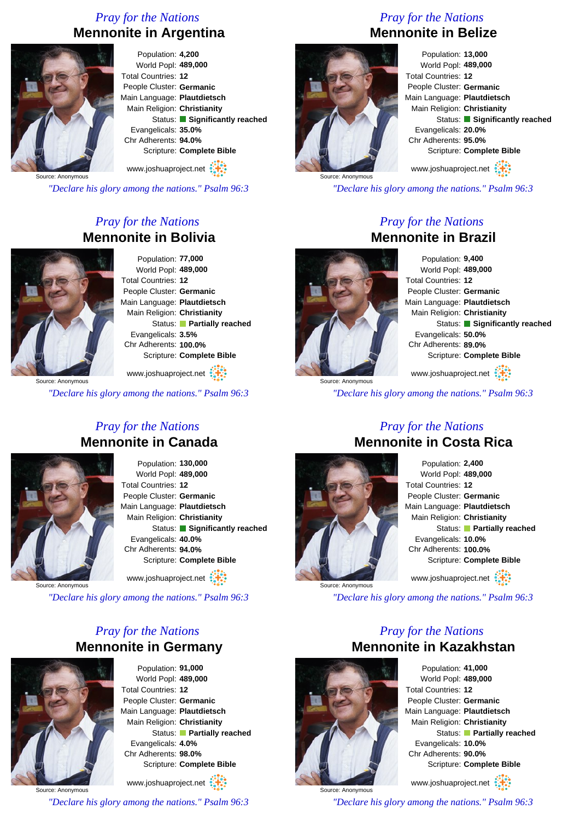## *Pray for the Nations* **Mennonite in Argentina**



Population: **4,200** World Popl: **489,000** Total Countries: **12** People Cluster: **Germanic** Main Language: **Plautdietsch** Main Religion: **Christianity** Status: **Significantly reached** Evangelicals: **35.0%** Chr Adherents: **94.0%** Scripture: **Complete Bible** www.joshuaproject.net

Source: Anonymous

*"Declare his glory among the nations." Psalm 96:3*

## *Pray for the Nations* **Mennonite in Bolivia**



Population: **77,000** World Popl: **489,000** Total Countries: **12** People Cluster: **Germanic** Main Language: **Plautdietsch** Main Religion: **Christianity** Status: **Partially reached** Evangelicals: **3.5%** Chr Adherents: **100.0%** Scripture: **Complete Bible**

www.joshuaproject.net

Source: Anonymous

*"Declare his glory among the nations." Psalm 96:3*

#### *Pray for the Nations* **Mennonite in Canada**



Population: **130,000** World Popl: **489,000** Total Countries: **12** People Cluster: **Germanic** Main Language: **Plautdietsch** Main Religion: **Christianity** Status: **Significantly reached** Evangelicals: **40.0%** Chr Adherents: **94.0%** Scripture: **Complete Bible** www.joshuaproject.net

Source: Anonymous

*"Declare his glory among the nations." Psalm 96:3*

#### *Pray for the Nations* **Mennonite in Germany**



Population: **91,000** World Popl: **489,000** Total Countries: **12** People Cluster: **Germanic** Main Language: **Plautdietsch** Main Religion: **Christianity** Status: **Partially reached** Evangelicals: **4.0%** Chr Adherents: **98.0%** Scripture: **Complete Bible** www.joshuaproject.net

Source: Anonymous *"Declare his glory among the nations." Psalm 96:3*

# *Pray for the Nations* **Mennonite in Belize**



Population: **13,000** World Popl: **489,000** Total Countries: **12** People Cluster: **Germanic** Main Language: **Plautdietsch** Main Religion: **Christianity** Status: **Significantly reached** Evangelicals: **20.0%** Chr Adherents: **95.0%** Scripture: **Complete Bible** www.joshuaproject.net

*"Declare his glory among the nations." Psalm 96:3*

#### *Pray for the Nations* **Mennonite in Brazil**

Source: Anonymous

Population: **9,400** World Popl: **489,000** Total Countries: **12** People Cluster: **Germanic** Main Language: **Plautdietsch** Main Religion: **Christianity** Status: **Significantly reached** Evangelicals: **50.0%** Chr Adherents: **89.0%** Scripture: **Complete Bible**

www.joshuaproject.net

*"Declare his glory among the nations." Psalm 96:3*



Source: Anonymous

#### *Pray for the Nations* **Mennonite in Costa Rica**

Population: **2,400** World Popl: **489,000** Total Countries: **12** People Cluster: **Germanic** Main Language: **Plautdietsch** Main Religion: **Christianity** Status: **Partially reached** Evangelicals: **10.0%** Chr Adherents: **100.0%** Scripture: **Complete Bible** www.joshuaproject.net

*"Declare his glory among the nations." Psalm 96:3*



Source: Anonymous

*Pray for the Nations* **Mennonite in Kazakhstan** Population: **41,000** World Popl: **489,000**

Total Countries: **12** People Cluster: **Germanic** Main Language: **Plautdietsch** Main Religion: **Christianity** Status: **Partially reached** Evangelicals: **10.0%** Chr Adherents: **90.0%** Scripture: **Complete Bible**

www.joshuaproject.net

*"Declare his glory among the nations." Psalm 96:3*